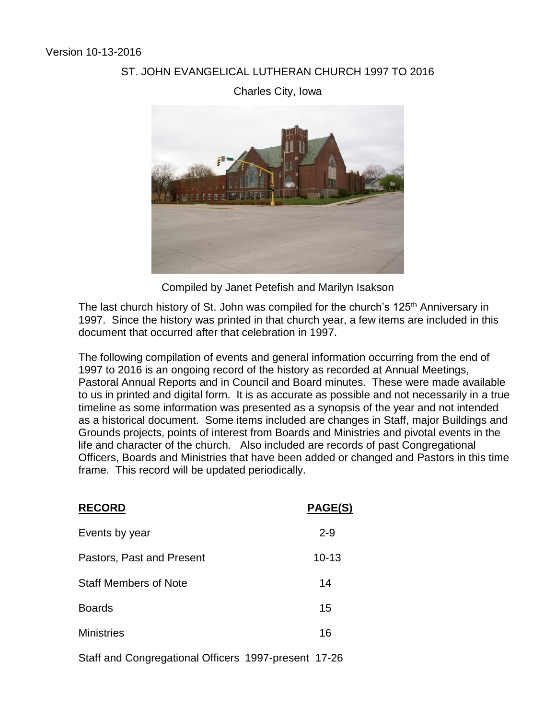## ST. JOHN EVANGELICAL LUTHERAN CHURCH 1997 TO 2016





Compiled by Janet Petefish and Marilyn Isakson

The last church history of St. John was compiled for the church's 125<sup>th</sup> Anniversary in 1997. Since the history was printed in that church year, a few items are included in this document that occurred after that celebration in 1997.

The following compilation of events and general information occurring from the end of 1997 to 2016 is an ongoing record of the history as recorded at Annual Meetings, Pastoral Annual Reports and in Council and Board minutes. These were made available to us in printed and digital form. It is as accurate as possible and not necessarily in a true timeline as some information was presented as a synopsis of the year and not intended as a historical document. Some items included are changes in Staff, major Buildings and Grounds projects, points of interest from Boards and Ministries and pivotal events in the life and character of the church. Also included are records of past Congregational Officers, Boards and Ministries that have been added or changed and Pastors in this time frame. This record will be updated periodically.

| <b>RECORD</b>                | PAGE(S)   |
|------------------------------|-----------|
| Events by year               | $2 - 9$   |
| Pastors, Past and Present    | $10 - 13$ |
| <b>Staff Members of Note</b> | 14        |
| <b>Boards</b>                | 15        |
| <b>Ministries</b>            | 16        |
|                              |           |

Staff and Congregational Officers 1997-present 17-26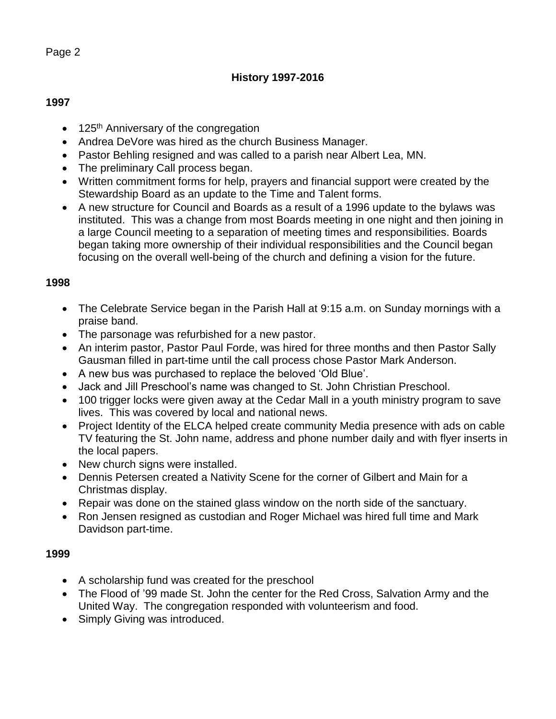# **History 1997-2016**

## **1997**

- $\bullet$  125<sup>th</sup> Anniversary of the congregation
- Andrea DeVore was hired as the church Business Manager.
- Pastor Behling resigned and was called to a parish near Albert Lea, MN.
- The preliminary Call process began.
- Written commitment forms for help, prayers and financial support were created by the Stewardship Board as an update to the Time and Talent forms.
- A new structure for Council and Boards as a result of a 1996 update to the bylaws was instituted. This was a change from most Boards meeting in one night and then joining in a large Council meeting to a separation of meeting times and responsibilities. Boards began taking more ownership of their individual responsibilities and the Council began focusing on the overall well-being of the church and defining a vision for the future.

# **1998**

- The Celebrate Service began in the Parish Hall at 9:15 a.m. on Sunday mornings with a praise band.
- The parsonage was refurbished for a new pastor.
- An interim pastor, Pastor Paul Forde, was hired for three months and then Pastor Sally Gausman filled in part-time until the call process chose Pastor Mark Anderson.
- A new bus was purchased to replace the beloved 'Old Blue'.
- Jack and Jill Preschool's name was changed to St. John Christian Preschool.
- 100 trigger locks were given away at the Cedar Mall in a youth ministry program to save lives. This was covered by local and national news.
- Project Identity of the ELCA helped create community Media presence with ads on cable TV featuring the St. John name, address and phone number daily and with flyer inserts in the local papers.
- New church signs were installed.
- Dennis Petersen created a Nativity Scene for the corner of Gilbert and Main for a Christmas display.
- Repair was done on the stained glass window on the north side of the sanctuary.
- Ron Jensen resigned as custodian and Roger Michael was hired full time and Mark Davidson part-time.

- A scholarship fund was created for the preschool
- The Flood of '99 made St. John the center for the Red Cross, Salvation Army and the United Way. The congregation responded with volunteerism and food.
- Simply Giving was introduced.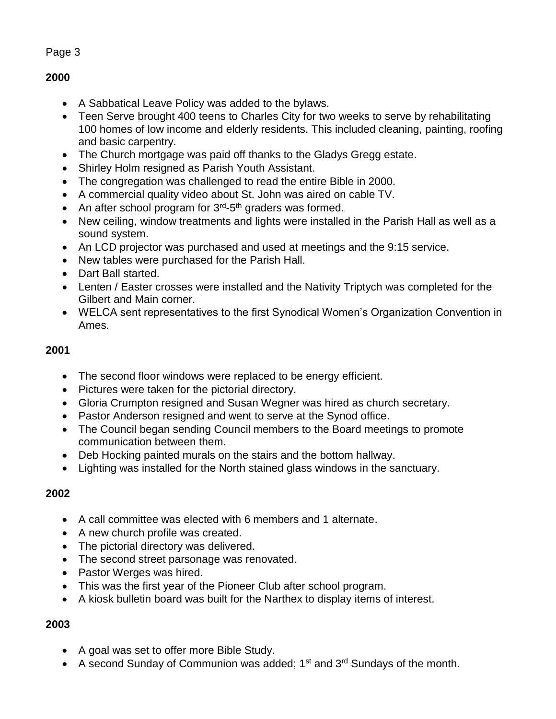# **2000**

- A Sabbatical Leave Policy was added to the bylaws.
- Teen Serve brought 400 teens to Charles City for two weeks to serve by rehabilitating 100 homes of low income and elderly residents. This included cleaning, painting, roofing and basic carpentry.
- The Church mortgage was paid off thanks to the Gladys Gregg estate.
- Shirley Holm resigned as Parish Youth Assistant.
- The congregation was challenged to read the entire Bible in 2000.
- A commercial quality video about St. John was aired on cable TV.
- An after school program for  $3<sup>rd</sup> 5<sup>th</sup>$  graders was formed.
- New ceiling, window treatments and lights were installed in the Parish Hall as well as a sound system.
- An LCD projector was purchased and used at meetings and the 9:15 service.
- New tables were purchased for the Parish Hall.
- Dart Ball started.
- Lenten / Easter crosses were installed and the Nativity Triptych was completed for the Gilbert and Main corner.
- WELCA sent representatives to the first Synodical Women's Organization Convention in Ames.

# **2001**

- The second floor windows were replaced to be energy efficient.
- Pictures were taken for the pictorial directory.
- Gloria Crumpton resigned and Susan Wegner was hired as church secretary.
- Pastor Anderson resigned and went to serve at the Synod office.
- The Council began sending Council members to the Board meetings to promote communication between them.
- Deb Hocking painted murals on the stairs and the bottom hallway.
- Lighting was installed for the North stained glass windows in the sanctuary.

# **2002**

- A call committee was elected with 6 members and 1 alternate.
- A new church profile was created.
- The pictorial directory was delivered.
- The second street parsonage was renovated.
- Pastor Werges was hired.
- This was the first year of the Pioneer Club after school program.
- A kiosk bulletin board was built for the Narthex to display items of interest.

- A goal was set to offer more Bible Study.
- A second Sunday of Communion was added;  $1<sup>st</sup>$  and  $3<sup>rd</sup>$  Sundays of the month.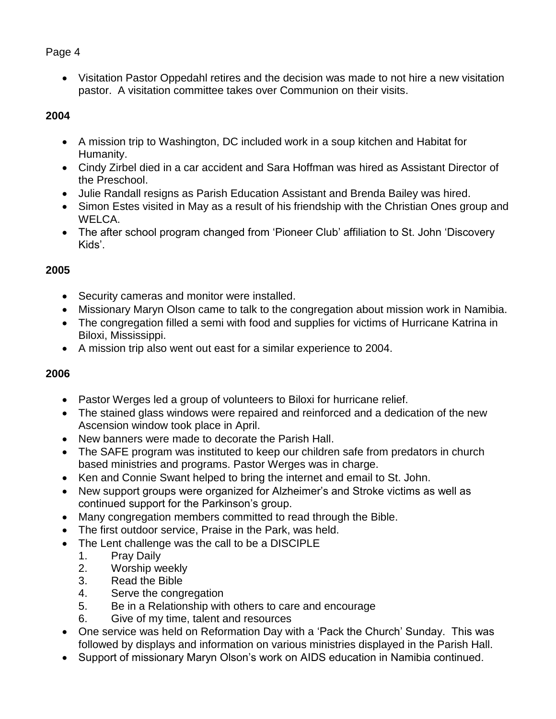Visitation Pastor Oppedahl retires and the decision was made to not hire a new visitation pastor. A visitation committee takes over Communion on their visits.

# **2004**

- A mission trip to Washington, DC included work in a soup kitchen and Habitat for Humanity.
- Cindy Zirbel died in a car accident and Sara Hoffman was hired as Assistant Director of the Preschool.
- Julie Randall resigns as Parish Education Assistant and Brenda Bailey was hired.
- Simon Estes visited in May as a result of his friendship with the Christian Ones group and WELCA.
- The after school program changed from 'Pioneer Club' affiliation to St. John 'Discovery Kids'.

# **2005**

- Security cameras and monitor were installed.
- Missionary Maryn Olson came to talk to the congregation about mission work in Namibia.
- The congregation filled a semi with food and supplies for victims of Hurricane Katrina in Biloxi, Mississippi.
- A mission trip also went out east for a similar experience to 2004.

- Pastor Werges led a group of volunteers to Biloxi for hurricane relief.
- The stained glass windows were repaired and reinforced and a dedication of the new Ascension window took place in April.
- New banners were made to decorate the Parish Hall.
- The SAFE program was instituted to keep our children safe from predators in church based ministries and programs. Pastor Werges was in charge.
- Ken and Connie Swant helped to bring the internet and email to St. John.
- New support groups were organized for Alzheimer's and Stroke victims as well as continued support for the Parkinson's group.
- Many congregation members committed to read through the Bible.
- The first outdoor service, Praise in the Park, was held.
- The Lent challenge was the call to be a DISCIPLE
	- 1. Pray Daily
	- 2. Worship weekly
	- 3. Read the Bible
	- 4. Serve the congregation
	- 5. Be in a Relationship with others to care and encourage
	- 6. Give of my time, talent and resources
- One service was held on Reformation Day with a 'Pack the Church' Sunday. This was followed by displays and information on various ministries displayed in the Parish Hall.
- Support of missionary Maryn Olson's work on AIDS education in Namibia continued.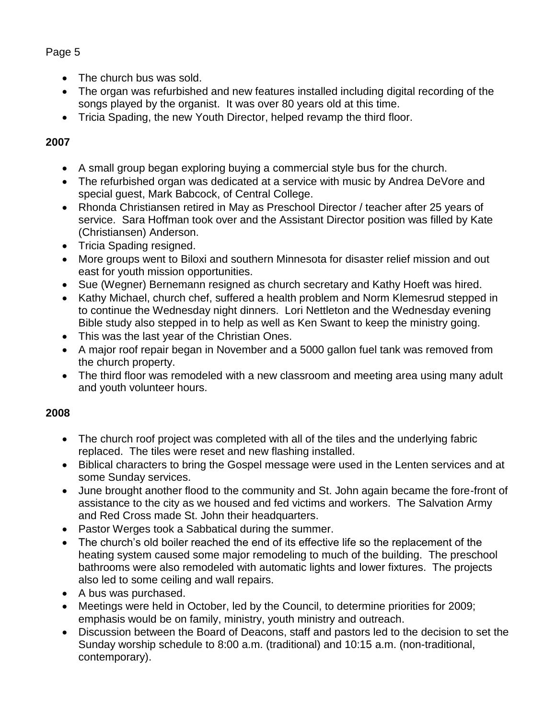- The church bus was sold.
- The organ was refurbished and new features installed including digital recording of the songs played by the organist. It was over 80 years old at this time.
- Tricia Spading, the new Youth Director, helped revamp the third floor.

# **2007**

- A small group began exploring buying a commercial style bus for the church.
- The refurbished organ was dedicated at a service with music by Andrea DeVore and special guest, Mark Babcock, of Central College.
- Rhonda Christiansen retired in May as Preschool Director / teacher after 25 years of service. Sara Hoffman took over and the Assistant Director position was filled by Kate (Christiansen) Anderson.
- Tricia Spading resigned.
- More groups went to Biloxi and southern Minnesota for disaster relief mission and out east for youth mission opportunities.
- Sue (Wegner) Bernemann resigned as church secretary and Kathy Hoeft was hired.
- Kathy Michael, church chef, suffered a health problem and Norm Klemesrud stepped in to continue the Wednesday night dinners. Lori Nettleton and the Wednesday evening Bible study also stepped in to help as well as Ken Swant to keep the ministry going.
- This was the last year of the Christian Ones.
- A major roof repair began in November and a 5000 gallon fuel tank was removed from the church property.
- The third floor was remodeled with a new classroom and meeting area using many adult and youth volunteer hours.

- The church roof project was completed with all of the tiles and the underlying fabric replaced. The tiles were reset and new flashing installed.
- Biblical characters to bring the Gospel message were used in the Lenten services and at some Sunday services.
- June brought another flood to the community and St. John again became the fore-front of assistance to the city as we housed and fed victims and workers. The Salvation Army and Red Cross made St. John their headquarters.
- Pastor Werges took a Sabbatical during the summer.
- The church's old boiler reached the end of its effective life so the replacement of the heating system caused some major remodeling to much of the building. The preschool bathrooms were also remodeled with automatic lights and lower fixtures. The projects also led to some ceiling and wall repairs.
- A bus was purchased.
- Meetings were held in October, led by the Council, to determine priorities for 2009; emphasis would be on family, ministry, youth ministry and outreach.
- Discussion between the Board of Deacons, staff and pastors led to the decision to set the Sunday worship schedule to 8:00 a.m. (traditional) and 10:15 a.m. (non-traditional, contemporary).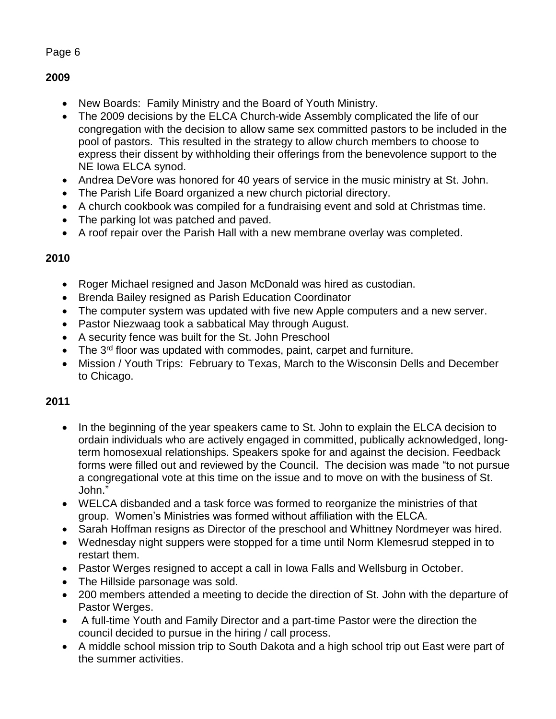# **2009**

- New Boards: Family Ministry and the Board of Youth Ministry.
- The 2009 decisions by the ELCA Church-wide Assembly complicated the life of our congregation with the decision to allow same sex committed pastors to be included in the pool of pastors. This resulted in the strategy to allow church members to choose to express their dissent by withholding their offerings from the benevolence support to the NE Iowa ELCA synod.
- Andrea DeVore was honored for 40 years of service in the music ministry at St. John.
- The Parish Life Board organized a new church pictorial directory.
- A church cookbook was compiled for a fundraising event and sold at Christmas time.
- The parking lot was patched and paved.
- A roof repair over the Parish Hall with a new membrane overlay was completed.

# **2010**

- Roger Michael resigned and Jason McDonald was hired as custodian.
- Brenda Bailey resigned as Parish Education Coordinator
- The computer system was updated with five new Apple computers and a new server.
- Pastor Niezwaag took a sabbatical May through August.
- A security fence was built for the St. John Preschool
- The 3<sup>rd</sup> floor was updated with commodes, paint, carpet and furniture.
- Mission / Youth Trips: February to Texas, March to the Wisconsin Dells and December to Chicago.

- In the beginning of the year speakers came to St. John to explain the ELCA decision to ordain individuals who are actively engaged in committed, publically acknowledged, longterm homosexual relationships. Speakers spoke for and against the decision. Feedback forms were filled out and reviewed by the Council. The decision was made "to not pursue a congregational vote at this time on the issue and to move on with the business of St. John."
- WELCA disbanded and a task force was formed to reorganize the ministries of that group. Women's Ministries was formed without affiliation with the ELCA.
- Sarah Hoffman resigns as Director of the preschool and Whittney Nordmeyer was hired.
- Wednesday night suppers were stopped for a time until Norm Klemesrud stepped in to restart them.
- Pastor Werges resigned to accept a call in Iowa Falls and Wellsburg in October.
- The Hillside parsonage was sold.
- 200 members attended a meeting to decide the direction of St. John with the departure of Pastor Werges.
- A full-time Youth and Family Director and a part-time Pastor were the direction the council decided to pursue in the hiring / call process.
- A middle school mission trip to South Dakota and a high school trip out East were part of the summer activities.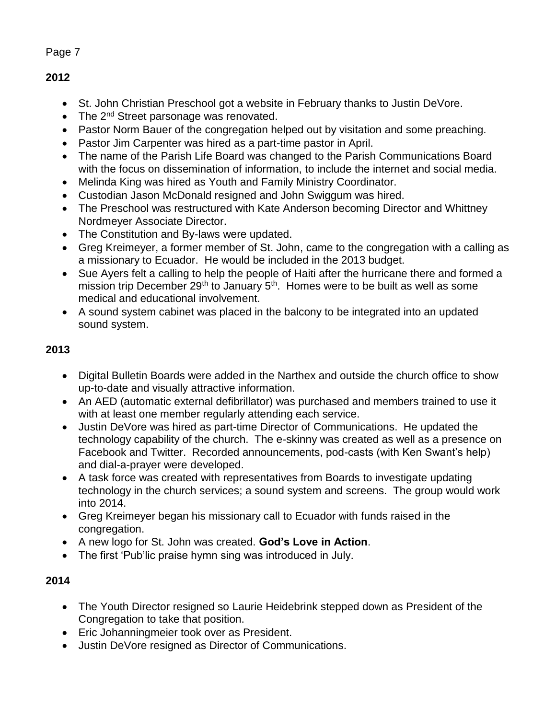**2012**

- St. John Christian Preschool got a website in February thanks to Justin DeVore.
- The 2<sup>nd</sup> Street parsonage was renovated.
- Pastor Norm Bauer of the congregation helped out by visitation and some preaching.
- Pastor Jim Carpenter was hired as a part-time pastor in April.
- The name of the Parish Life Board was changed to the Parish Communications Board with the focus on dissemination of information, to include the internet and social media.
- Melinda King was hired as Youth and Family Ministry Coordinator.
- Custodian Jason McDonald resigned and John Swiggum was hired.
- The Preschool was restructured with Kate Anderson becoming Director and Whittney Nordmeyer Associate Director.
- The Constitution and By-laws were updated.
- Greg Kreimeyer, a former member of St. John, came to the congregation with a calling as a missionary to Ecuador. He would be included in the 2013 budget.
- Sue Ayers felt a calling to help the people of Haiti after the hurricane there and formed a mission trip December  $29<sup>th</sup>$  to January  $5<sup>th</sup>$ . Homes were to be built as well as some medical and educational involvement.
- A sound system cabinet was placed in the balcony to be integrated into an updated sound system.

# **2013**

- Digital Bulletin Boards were added in the Narthex and outside the church office to show up-to-date and visually attractive information.
- An AED (automatic external defibrillator) was purchased and members trained to use it with at least one member regularly attending each service.
- Justin DeVore was hired as part-time Director of Communications. He updated the technology capability of the church. The e-skinny was created as well as a presence on Facebook and Twitter. Recorded announcements, pod-casts (with Ken Swant's help) and dial-a-prayer were developed.
- A task force was created with representatives from Boards to investigate updating technology in the church services; a sound system and screens. The group would work into 2014.
- Greg Kreimeyer began his missionary call to Ecuador with funds raised in the congregation.
- A new logo for St. John was created. **God's Love in Action**.
- The first 'Pub'lic praise hymn sing was introduced in July.

- The Youth Director resigned so Laurie Heidebrink stepped down as President of the Congregation to take that position.
- Eric Johanningmeier took over as President.
- Justin DeVore resigned as Director of Communications.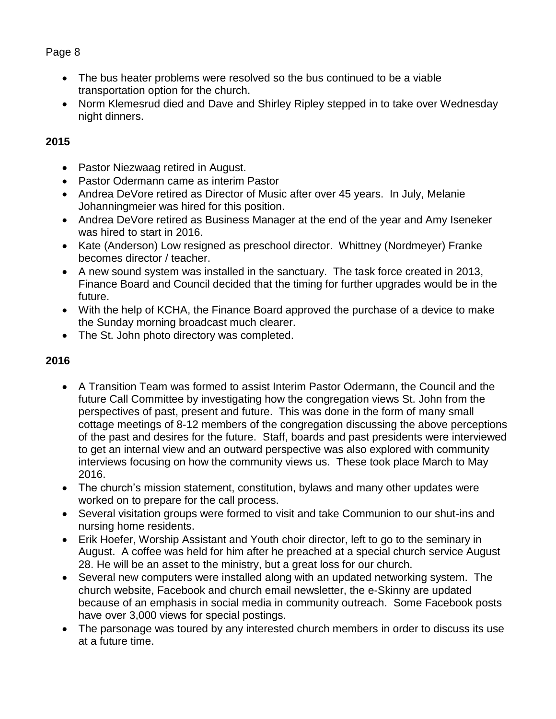- The bus heater problems were resolved so the bus continued to be a viable transportation option for the church.
- Norm Klemesrud died and Dave and Shirley Ripley stepped in to take over Wednesday night dinners.

# **2015**

- Pastor Niezwaag retired in August.
- Pastor Odermann came as interim Pastor
- Andrea DeVore retired as Director of Music after over 45 years. In July, Melanie Johanningmeier was hired for this position.
- Andrea DeVore retired as Business Manager at the end of the year and Amy Iseneker was hired to start in 2016.
- Kate (Anderson) Low resigned as preschool director. Whittney (Nordmeyer) Franke becomes director / teacher.
- A new sound system was installed in the sanctuary. The task force created in 2013, Finance Board and Council decided that the timing for further upgrades would be in the future.
- With the help of KCHA, the Finance Board approved the purchase of a device to make the Sunday morning broadcast much clearer.
- The St. John photo directory was completed.

- A Transition Team was formed to assist Interim Pastor Odermann, the Council and the future Call Committee by investigating how the congregation views St. John from the perspectives of past, present and future. This was done in the form of many small cottage meetings of 8-12 members of the congregation discussing the above perceptions of the past and desires for the future. Staff, boards and past presidents were interviewed to get an internal view and an outward perspective was also explored with community interviews focusing on how the community views us. These took place March to May 2016.
- The church's mission statement, constitution, bylaws and many other updates were worked on to prepare for the call process.
- Several visitation groups were formed to visit and take Communion to our shut-ins and nursing home residents.
- Erik Hoefer, Worship Assistant and Youth choir director, left to go to the seminary in August. A coffee was held for him after he preached at a special church service August 28. He will be an asset to the ministry, but a great loss for our church.
- Several new computers were installed along with an updated networking system. The church website, Facebook and church email newsletter, the e-Skinny are updated because of an emphasis in social media in community outreach. Some Facebook posts have over 3,000 views for special postings.
- The parsonage was toured by any interested church members in order to discuss its use at a future time.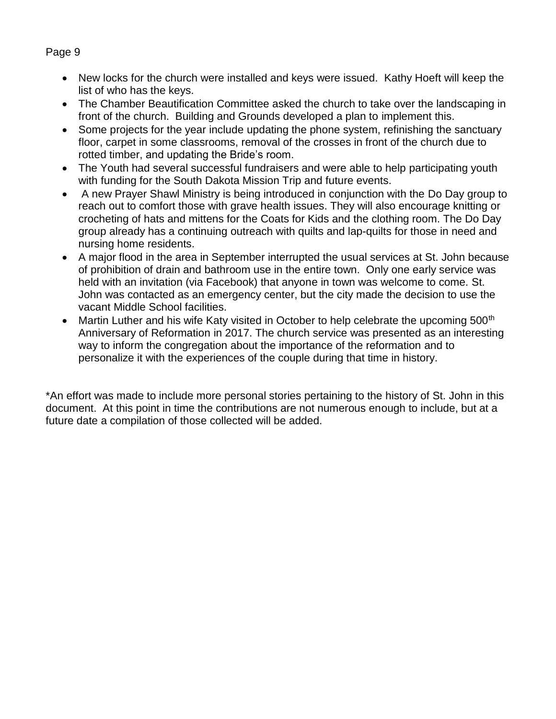- New locks for the church were installed and keys were issued. Kathy Hoeft will keep the list of who has the keys.
- The Chamber Beautification Committee asked the church to take over the landscaping in front of the church. Building and Grounds developed a plan to implement this.
- Some projects for the year include updating the phone system, refinishing the sanctuary floor, carpet in some classrooms, removal of the crosses in front of the church due to rotted timber, and updating the Bride's room.
- The Youth had several successful fundraisers and were able to help participating youth with funding for the South Dakota Mission Trip and future events.
- A new Prayer Shawl Ministry is being introduced in conjunction with the Do Day group to reach out to comfort those with grave health issues. They will also encourage knitting or crocheting of hats and mittens for the Coats for Kids and the clothing room. The Do Day group already has a continuing outreach with quilts and lap-quilts for those in need and nursing home residents.
- A major flood in the area in September interrupted the usual services at St. John because of prohibition of drain and bathroom use in the entire town. Only one early service was held with an invitation (via Facebook) that anyone in town was welcome to come. St. John was contacted as an emergency center, but the city made the decision to use the vacant Middle School facilities.
- Martin Luther and his wife Katy visited in October to help celebrate the upcoming 500<sup>th</sup> Anniversary of Reformation in 2017. The church service was presented as an interesting way to inform the congregation about the importance of the reformation and to personalize it with the experiences of the couple during that time in history.

\*An effort was made to include more personal stories pertaining to the history of St. John in this document. At this point in time the contributions are not numerous enough to include, but at a future date a compilation of those collected will be added.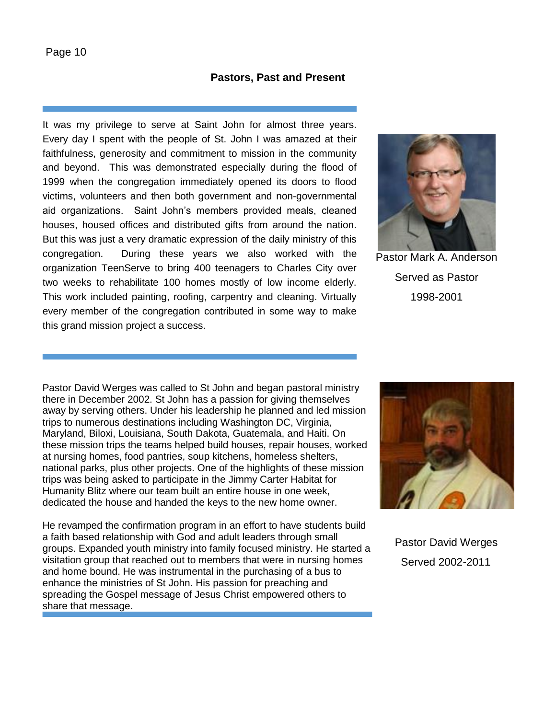## **Pastors, Past and Present**

It was my privilege to serve at Saint John for almost three years. Every day I spent with the people of St. John I was amazed at their faithfulness, generosity and commitment to mission in the community and beyond. This was demonstrated especially during the flood of 1999 when the congregation immediately opened its doors to flood victims, volunteers and then both government and non-governmental aid organizations. Saint John's members provided meals, cleaned houses, housed offices and distributed gifts from around the nation. But this was just a very dramatic expression of the daily ministry of this congregation. During these years we also worked with the organization TeenServe to bring 400 teenagers to Charles City over two weeks to rehabilitate 100 homes mostly of low income elderly. This work included painting, roofing, carpentry and cleaning. Virtually every member of the congregation contributed in some way to make this grand mission project a success.



Pastor Mark A. Anderson Served as Pastor 1998-2001

Pastor David Werges was called to St John and began pastoral ministry there in December 2002. St John has a passion for giving themselves away by serving others. Under his leadership he planned and led mission trips to numerous destinations including Washington DC, Virginia, Maryland, Biloxi, Louisiana, South Dakota, Guatemala, and Haiti. On these mission trips the teams helped build houses, repair houses, worked at nursing homes, food pantries, soup kitchens, homeless shelters, national parks, plus other projects. One of the highlights of these mission trips was being asked to participate in the Jimmy Carter Habitat for Humanity Blitz where our team built an entire house in one week, dedicated the house and handed the keys to the new home owner.

He revamped the confirmation program in an effort to have students build a faith based relationship with God and adult leaders through small groups. Expanded youth ministry into family focused ministry. He started a visitation group that reached out to members that were in nursing homes and home bound. He was instrumental in the purchasing of a bus to enhance the ministries of St John. His passion for preaching and spreading the Gospel message of Jesus Christ empowered others to share that message.



 Pastor David Werges Served 2002-2011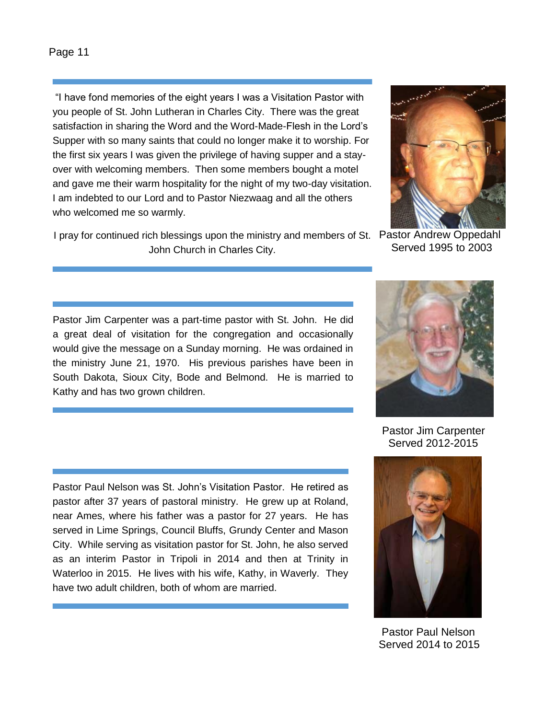"I have fond memories of the eight years I was a Visitation Pastor with you people of St. John Lutheran in Charles City. There was the great satisfaction in sharing the Word and the Word-Made-Flesh in the Lord's Supper with so many saints that could no longer make it to worship. For the first six years I was given the privilege of having supper and a stayover with welcoming members. Then some members bought a motel and gave me their warm hospitality for the night of my two-day visitation. I am indebted to our Lord and to Pastor Niezwaag and all the others who welcomed me so warmly.

I pray for continued rich blessings upon the ministry and members of St. Pastor Andrew Oppedahl John Church in Charles City.



Served 1995 to 2003

Pastor Jim Carpenter was a part-time pastor with St. John. He did a great deal of visitation for the congregation and occasionally would give the message on a Sunday morning. He was ordained in the ministry June 21, 1970. His previous parishes have been in South Dakota, Sioux City, Bode and Belmond. He is married to Kathy and has two grown children.

Pastor Paul Nelson was St. John's Visitation Pastor. He retired as pastor after 37 years of pastoral ministry. He grew up at Roland, near Ames, where his father was a pastor for 27 years. He has served in Lime Springs, Council Bluffs, Grundy Center and Mason City. While serving as visitation pastor for St. John, he also served as an interim Pastor in Tripoli in 2014 and then at Trinity in Waterloo in 2015. He lives with his wife, Kathy, in Waverly. They have two adult children, both of whom are married.



 Pastor Jim Carpenter Served 2012-2015



 Pastor Paul Nelson Served 2014 to 2015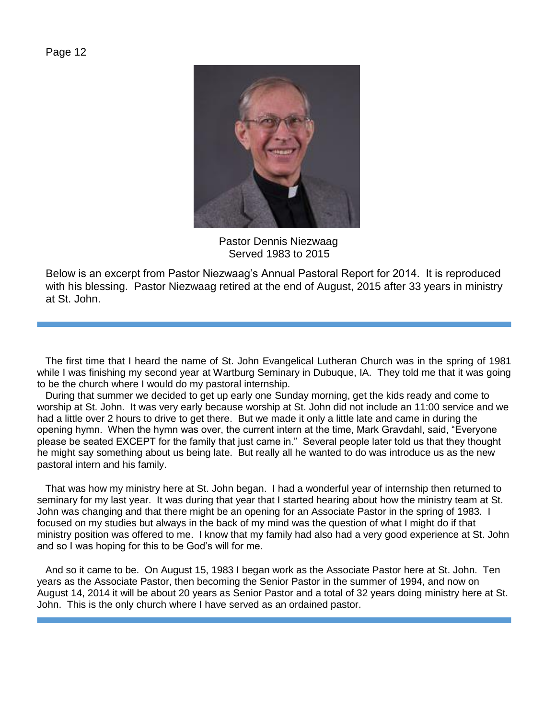

 Pastor Dennis Niezwaag Served 1983 to 2015

Below is an excerpt from Pastor Niezwaag's Annual Pastoral Report for 2014. It is reproduced with his blessing. Pastor Niezwaag retired at the end of August, 2015 after 33 years in ministry at St. John.

 The first time that I heard the name of St. John Evangelical Lutheran Church was in the spring of 1981 while I was finishing my second year at Wartburg Seminary in Dubuque, IA. They told me that it was going to be the church where I would do my pastoral internship.

 During that summer we decided to get up early one Sunday morning, get the kids ready and come to worship at St. John. It was very early because worship at St. John did not include an 11:00 service and we had a little over 2 hours to drive to get there. But we made it only a little late and came in during the opening hymn. When the hymn was over, the current intern at the time, Mark Gravdahl, said, "Everyone please be seated EXCEPT for the family that just came in." Several people later told us that they thought he might say something about us being late. But really all he wanted to do was introduce us as the new pastoral intern and his family.

 That was how my ministry here at St. John began. I had a wonderful year of internship then returned to seminary for my last year. It was during that year that I started hearing about how the ministry team at St. John was changing and that there might be an opening for an Associate Pastor in the spring of 1983. I focused on my studies but always in the back of my mind was the question of what I might do if that ministry position was offered to me. I know that my family had also had a very good experience at St. John and so I was hoping for this to be God's will for me.

 And so it came to be. On August 15, 1983 I began work as the Associate Pastor here at St. John. Ten years as the Associate Pastor, then becoming the Senior Pastor in the summer of 1994, and now on August 14, 2014 it will be about 20 years as Senior Pastor and a total of 32 years doing ministry here at St. John. This is the only church where I have served as an ordained pastor.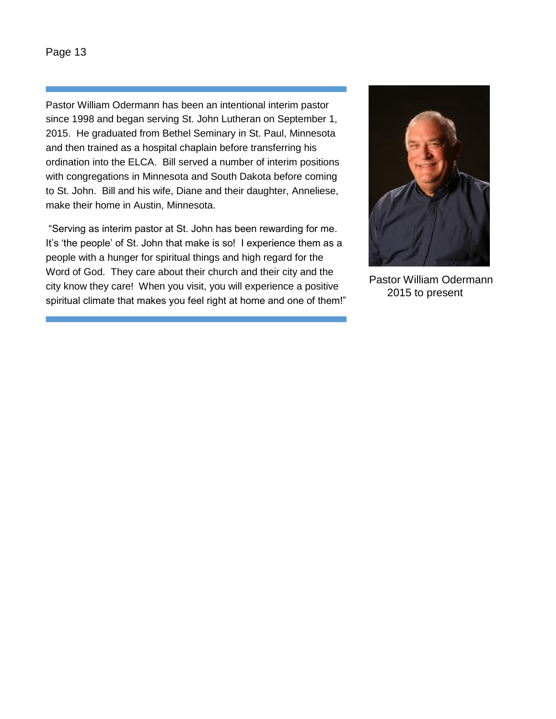Pastor William Odermann has been an intentional interim pastor since 1998 and began serving St. John Lutheran on September 1, 2015. He graduated from Bethel Seminary in St. Paul, Minnesota and then trained as a hospital chaplain before transferring his ordination into the ELCA. Bill served a number of interim positions with congregations in Minnesota and South Dakota before coming to St. John. Bill and his wife, Diane and their daughter, Anneliese, make their home in Austin, Minnesota.

"Serving as interim pastor at St. John has been rewarding for me. It's 'the people' of St. John that make is so! I experience them as a people with a hunger for spiritual things and high regard for the Word of God. They care about their church and their city and the city know they care! When you visit, you will experience a positive spiritual climate that makes you feel right at home and one of them!"



 Pastor William Odermann 2015 to present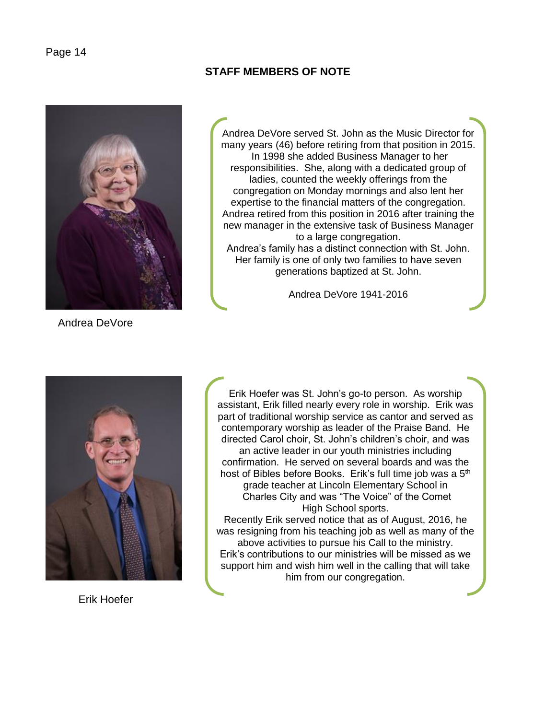

**STAFF MEMBERS OF NOTE**

Andrea DeVore served St. John as the Music Director for many years (46) before retiring from that position in 2015. In 1998 she added Business Manager to her responsibilities. She, along with a dedicated group of ladies, counted the weekly offerings from the congregation on Monday mornings and also lent her expertise to the financial matters of the congregation. Andrea retired from this position in 2016 after training the new manager in the extensive task of Business Manager to a large congregation. Andrea's family has a distinct connection with St. John. Her family is one of only two families to have seven generations baptized at St. John.

Andrea DeVore 1941-2016



Erik Hoefer was St. John's go-to person. As worship assistant, Erik filled nearly every role in worship. Erik was part of traditional worship service as cantor and served as contemporary worship as leader of the Praise Band. He directed Carol choir, St. John's children's choir, and was an active leader in our youth ministries including confirmation. He served on several boards and was the host of Bibles before Books. Erik's full time job was a 5<sup>th</sup> grade teacher at Lincoln Elementary School in Charles City and was "The Voice" of the Comet High School sports.

Recently Erik served notice that as of August, 2016, he was resigning from his teaching job as well as many of the above activities to pursue his Call to the ministry. Erik's contributions to our ministries will be missed as we support him and wish him well in the calling that will take him from our congregation.

Erik Hoefer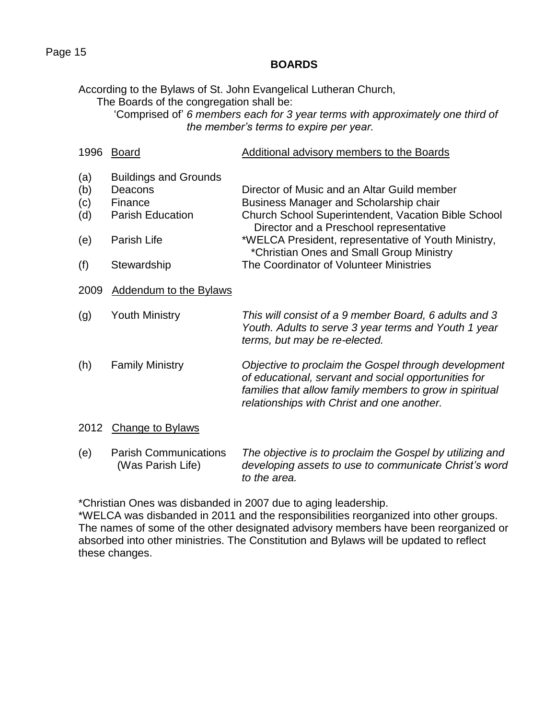## **BOARDS**

According to the Bylaws of St. John Evangelical Lutheran Church, The Boards of the congregation shall be:

'Comprised of' *6 members each for 3 year terms with approximately one third of the member's terms to expire per year.*

| 1996                                   | <b>Board</b>                                                                                                | <b>Additional advisory members to the Boards</b>                                                                                                                                                                                                                                                                                             |
|----------------------------------------|-------------------------------------------------------------------------------------------------------------|----------------------------------------------------------------------------------------------------------------------------------------------------------------------------------------------------------------------------------------------------------------------------------------------------------------------------------------------|
| (a)<br>(b)<br>(c)<br>(d)<br>(e)<br>(f) | <b>Buildings and Grounds</b><br>Deacons<br>Finance<br><b>Parish Education</b><br>Parish Life<br>Stewardship | Director of Music and an Altar Guild member<br>Business Manager and Scholarship chair<br><b>Church School Superintendent, Vacation Bible School</b><br>Director and a Preschool representative<br>*WELCA President, representative of Youth Ministry,<br>*Christian Ones and Small Group Ministry<br>The Coordinator of Volunteer Ministries |
| 2009                                   | <b>Addendum to the Bylaws</b>                                                                               |                                                                                                                                                                                                                                                                                                                                              |
| (g)                                    | <b>Youth Ministry</b>                                                                                       | This will consist of a 9 member Board, 6 adults and 3<br>Youth. Adults to serve 3 year terms and Youth 1 year<br>terms, but may be re-elected.                                                                                                                                                                                               |
| (h)                                    | <b>Family Ministry</b>                                                                                      | Objective to proclaim the Gospel through development<br>of educational, servant and social opportunities for<br>families that allow family members to grow in spiritual<br>relationships with Christ and one another.                                                                                                                        |
| 2012                                   | <b>Change to Bylaws</b>                                                                                     |                                                                                                                                                                                                                                                                                                                                              |
| (e)                                    | <b>Parish Communications</b><br>(Was Parish Life)                                                           | The objective is to proclaim the Gospel by utilizing and<br>developing assets to use to communicate Christ's word<br>to the area.                                                                                                                                                                                                            |

\*Christian Ones was disbanded in 2007 due to aging leadership.

\*WELCA was disbanded in 2011 and the responsibilities reorganized into other groups. The names of some of the other designated advisory members have been reorganized or absorbed into other ministries. The Constitution and Bylaws will be updated to reflect these changes.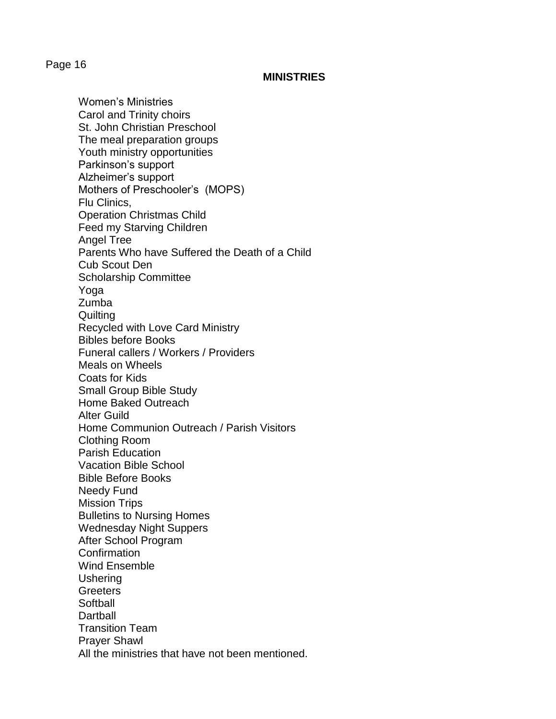### **MINISTRIES**

Women's Ministries Carol and Trinity choirs St. John Christian Preschool The meal preparation groups Youth ministry opportunities Parkinson's support Alzheimer's support Mothers of Preschooler's (MOPS) Flu Clinics, Operation Christmas Child Feed my Starving Children Angel Tree Parents Who have Suffered the Death of a Child Cub Scout Den Scholarship Committee Yoga Zumba **Quilting** Recycled with Love Card Ministry Bibles before Books Funeral callers / Workers / Providers Meals on Wheels Coats for Kids Small Group Bible Study Home Baked Outreach Alter Guild Home Communion Outreach / Parish Visitors Clothing Room Parish Education Vacation Bible School Bible Before Books Needy Fund Mission Trips Bulletins to Nursing Homes Wednesday Night Suppers After School Program Confirmation Wind Ensemble Ushering **Greeters Softball Dartball** Transition Team Prayer Shawl All the ministries that have not been mentioned.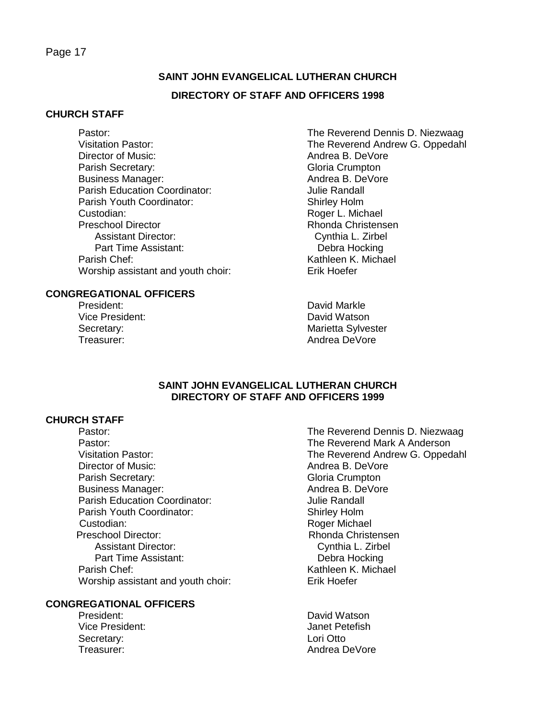# **SAINT JOHN EVANGELICAL LUTHERAN CHURCH**

## **DIRECTORY OF STAFF AND OFFICERS 1998**

### **CHURCH STAFF**

Pastor: The Reverend Dennis D. Niezwaag Director of Music: Andrea B. DeVore Parish Secretary: Gloria Crumpton Business Manager: Andrea B. DeVore Parish Education Coordinator: Julie Randall Parish Youth Coordinator: Shirley Holm Custodian: Roger L. Michael Assistant Director: Cynthia L. Zirbel Part Time Assistant: Debra Hocking Parish Chef: New York Chef: Kathleen K. Michael Worship assistant and youth choir: Erik Hoefer

### **CONGREGATIONAL OFFICERS**

President: David Markle

Visitation Pastor: The Reverend Andrew G. Oppedahl Rhonda Christensen

Vice President: National According David Watson Secretary: Secretary: **Marietta Sylvester** Treasurer: Andrea DeVore

#### **SAINT JOHN EVANGELICAL LUTHERAN CHURCH DIRECTORY OF STAFF AND OFFICERS 1999**

#### **CHURCH STAFF**

Pastor: The Reverend Mark A Anderson Director of Music: Andrea B. DeVore Parish Secretary: Gloria Crumpton Business Manager: Andrea B. DeVore Parish Education Coordinator: **Francisco Education** Coordinator: Parish Youth Coordinator: Shirley Holm Custodian: Roger Michael Preschool Director: Rhonda Christensen Assistant Director: Cynthia L. Zirbel Part Time Assistant: Debra Hocking Parish Chef: Nathleen K. Michael Worship assistant and youth choir: Erik Hoefer

#### **CONGREGATIONAL OFFICERS**

Vice President: Janet Petefish Secretary: Lori Otto

Pastor: The Reverend Dennis D. Niezwaag Visitation Pastor: The Reverend Andrew G. Oppedahl

President: David Watson Treasurer: Andrea DeVore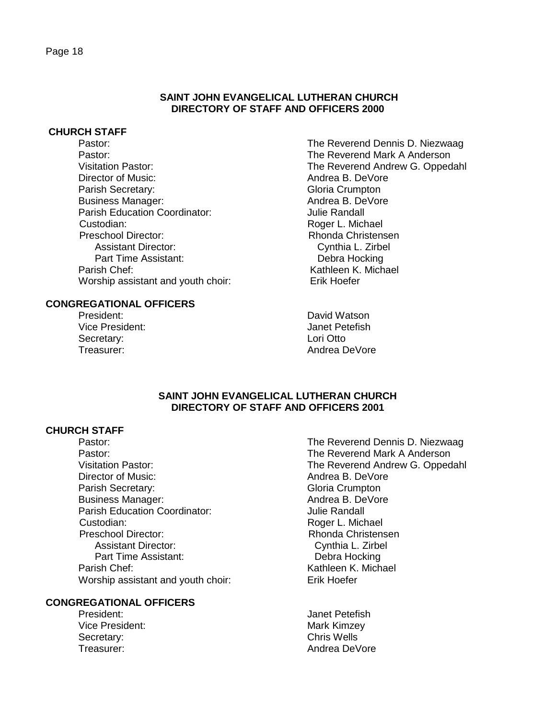#### **CHURCH STAFF**

Pastor: The Reverend Dennis D. Niezwaag Pastor: The Reverend Mark A Anderson Director of Music:  $\qquad \qquad \qquad$  Andrea B. DeVore Parish Secretary: Gloria Crumpton Business Manager: Andrea B. DeVore Parish Education Coordinator: **Francisco Education** Coordinator: Custodian: Custodian: Roger L. Michael Preschool Director: Rhonda Christensen Assistant Director: Cynthia L. Zirbel Part Time Assistant: Debra Hocking Parish Chef: Nathleen K. Michael Worship assistant and youth choir: Erik Hoefer

#### **CONGREGATIONAL OFFICERS**

President: David Watson Vice President: Janet Petefish Secretary: **Lori Otto** 

Visitation Pastor: The Reverend Andrew G. Oppedahl

Treasurer: Andrea DeVore

#### **SAINT JOHN EVANGELICAL LUTHERAN CHURCH DIRECTORY OF STAFF AND OFFICERS 2001**

**DIRECTORY OF STAFF AND OFFICERS 2000**

## **CHURCH STAFF**

Pastor: The Reverend Mark A Anderson Director of Music: Andrea B. DeVore Parish Secretary: Gloria Crumpton Business Manager: Andrea B. DeVore Parish Education Coordinator: **Francisco International** Julie Randall Custodian: Roger L. Michael Preschool Director: National Christensen Rhonda Christensen Assistant Director: Cynthia L. Zirbel Part Time Assistant: Debra Hocking Parish Chef: Nathleen K. Michael Worship assistant and youth choir: Erik Hoefer

#### **CONGREGATIONAL OFFICERS**

Vice President: What's New York Mark Kimzey Secretary: Secretary: Secretary: Secretary: Secretary: Secretary: Secretary: Secretary: Secretary: Secretary: Secretary: Secretary: Secretary: Secretary: Secretary: Secretary: Secretary: Secretary: Secretary: Secretary: Se

- Pastor: The Reverend Dennis D. Niezwaag Visitation Pastor: The Reverend Andrew G. Oppedahl
- President: Verwysiteld and the United States of the United States of the United States of the United States of the United States of the United States of the United States of the United States of the United States of the Un Treasurer: Andrea DeVore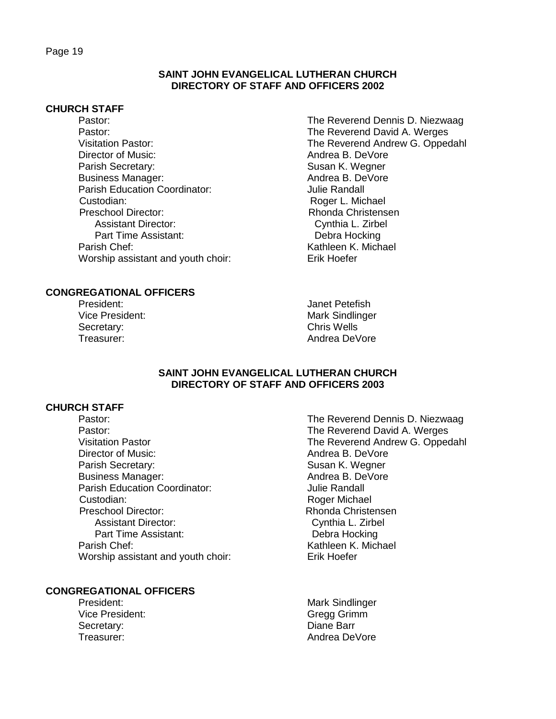#### **CHURCH STAFF**

- Pastor: The Reverend Dennis D. Niezwaag Pastor: The Reverend David A. Werges Director of Music: Andrea B. DeVore Parish Secretary: Susan K. Wegner Business Manager: Andrea B. DeVore Parish Education Coordinator: **Francisco Education** Coordinator: Custodian: Custodian: Custodian: Custodian: Custodian: Custodian: Custodian: Custodian: Custodian: Custodian: Custodian: Custodian: Custodian: Custodian: Custodian: Custodian: Custodian: Custodian: Custodian: Custodian: Cu Preschool Director: Rhonda Christensen Assistant Director: Cynthia L. Zirbel Part Time Assistant: Debra Hocking Parish Chef: New York Chef: Kathleen K. Michael Worship assistant and youth choir: Erik Hoefer
- **CONGREGATIONAL OFFICERS**
	- Secretary: Chris Wells

Visitation Pastor: The Reverend Andrew G. Oppedahl

President: Version of the Contract of the United States of the United States of the United States of the United States of the United States of the United States of the United States of the United States of the United State Vice President: Mark Sindlinger Treasurer: Andrea DeVore

### **SAINT JOHN EVANGELICAL LUTHERAN CHURCH DIRECTORY OF STAFF AND OFFICERS 2003**

### **CHURCH STAFF**

Pastor: The Reverend David A. Werges Director of Music: Andrea B. DeVore Parish Secretary: Susan K. Wegner Business Manager: Andrea B. DeVore Parish Education Coordinator: Julie Randall Custodian: Roger Michael Preschool Director: Rhonda Christensen Assistant Director: Cynthia L. Zirbel Part Time Assistant: Debra Hocking Parish Chef: Nathleen K. Michael Worship assistant and youth choir: Erik Hoefer

## **CONGREGATIONAL OFFICERS**

Vice President: Gregg Grimm Secretary: Secretary: Secretary: Secretary: Secretary: Secretary: Secretary: Secretary: Secretary: Secretary: Secretary: Secretary: Secretary: Secretary: Secretary: Secretary: Secretary: Secretary: Secretary: Secretary: Se

Pastor: The Reverend Dennis D. Niezwaag Visitation Pastor The Reverend Andrew G. Oppedahl

President: Mark Sindlinger Treasurer: Andrea DeVore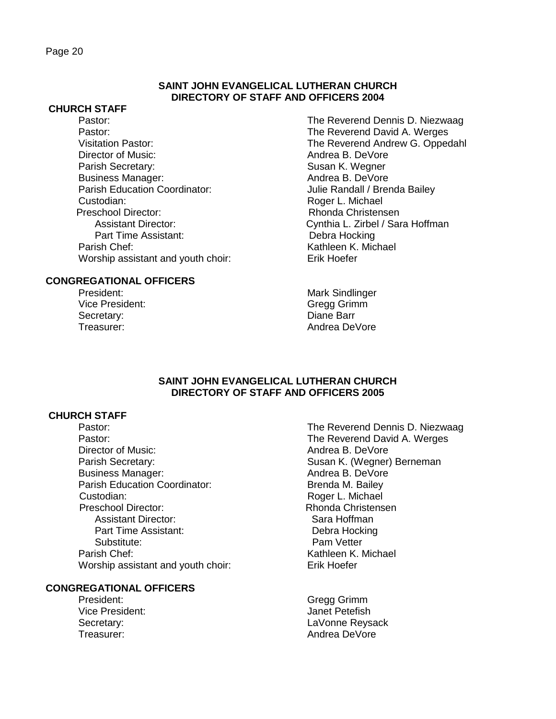#### **CHURCH STAFF**

Pastor: The Reverend Dennis D. Niezwaag Pastor: The Reverend David A. Werges Director of Music: Andrea B. DeVore Parish Secretary: Susan K. Wegner Business Manager: Andrea B. DeVore Parish Education Coordinator: Julie Randall / Brenda Bailey Custodian: Roger L. Michael Preschool Director: Rhonda Christensen Part Time Assistant: Parish Chef: New York Chef: Kathleen K. Michael Worship assistant and youth choir: Erik Hoefer

## **CONGREGATIONAL OFFICERS**

Vice President: Gregg Grimm Secretary: **Diane Barr** 

Visitation Pastor: The Reverend Andrew G. Oppedahl Assistant Director: Cynthia L. Zirbel / Sara Hoffman<br>Part Time Assistant: Cynthia L. Zirbel / Sara Hoffman

President: Mark Sindlinger Treasurer: Andrea DeVore

#### **SAINT JOHN EVANGELICAL LUTHERAN CHURCH DIRECTORY OF STAFF AND OFFICERS 2005**

## **CHURCH STAFF**

Pastor: The Reverend David A. Werges Director of Music: Andrea B. DeVore Parish Secretary: Susan K. (Wegner) Berneman Business Manager: Andrea B. DeVore Parish Education Coordinator: Brenda M. Bailey Custodian: Custodian: Roger L. Michael Preschool Director: New York Christensen Assistant Director: Sara Hoffman Part Time Assistant: Debra Hocking Substitute: Pam Vetter Parish Chef:<br>Worship assistant and vouth choir: <br>Kathleen K. Michael<br>Erik Hoefer Worship assistant and youth choir:

### **CONGREGATIONAL OFFICERS**

Vice President: Janet Petefish

Pastor: **Pastor:** The Reverend Dennis D. Niezwaag

President: Gregg Grimm Secretary: Secretary: Secretary: England Connected by LaVonne Reysack Treasurer: Andrea DeVore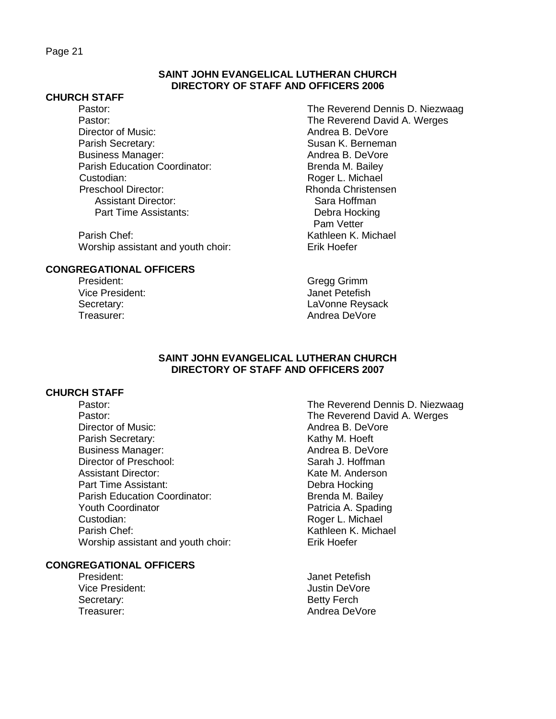#### **SAINT JOHN EVANGELICAL LUTHERAN CHURCH DIRECTORY OF STAFF AND OFFICERS 2006**

#### **CHURCH STAFF**

Director of Music: Andrea B. DeVore Parish Secretary: Susan K. Berneman Business Manager: Andrea B. DeVore Parish Education Coordinator: Brenda M. Bailey Custodian: Custodian: Roger L. Michael Preschool Director: Rhonda Christensen Assistant Director: Sara Hoffman Part Time Assistants: Debra Hocking

Parish Chef: Kathleen K. Michael Worship assistant and youth choir: Erik Hoefer

## **CONGREGATIONAL OFFICERS**

Vice President: Janet Petefish

Pastor: The Reverend Dennis D. Niezwaag Pastor: The Reverend David A. Werges Pam Vetter

President: Gregg Grimm Secretary: LaVonne Reysack Treasurer: Andrea DeVore

#### **SAINT JOHN EVANGELICAL LUTHERAN CHURCH DIRECTORY OF STAFF AND OFFICERS 2007**

#### **CHURCH STAFF**

Pastor: The Reverend David A. Werges Director of Music: Andrea B. DeVore Parish Secretary: Notice of the Muslim Secretary: Business Manager: Andrea B. DeVore Director of Preschool: Sarah J. Hoffman Assistant Director: The Contractor Contractor Contractor Contractor Contractor Contractor Contractor Contractor Part Time Assistant: Debra Hocking Parish Education Coordinator: Brenda M. Bailey Youth Coordinator **Patricia A.** Spading Custodian: Custodian: Roger L. Michael Parish Chef: Nathleen K. Michael Worship assistant and youth choir: Erik Hoefer

## **CONGREGATIONAL OFFICERS**

- Vice President: Vice President: Justin DeVore Secretary: Secretary: Secretary: Secretary: Secretary: Betty Ferch
- Pastor: **Pastor:** The Reverend Dennis D. Niezwaag
- President: Version of the Contract of the United States of the United States of the United States of the United States of the United States of the United States of the United States of the United States of the United State Treasurer: Andrea DeVore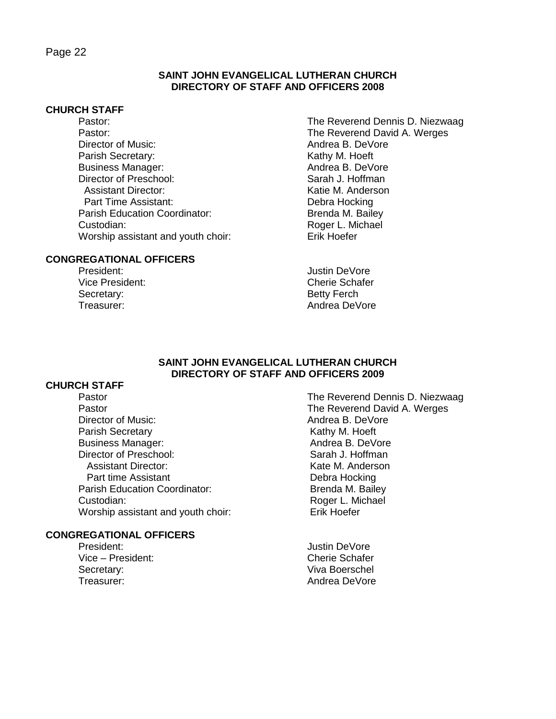## **SAINT JOHN EVANGELICAL LUTHERAN CHURCH DIRECTORY OF STAFF AND OFFICERS 2008**

## **CHURCH STAFF**

Pastor: The Reverend David A. Werges Director of Music: Andrea B. DeVore Parish Secretary: New York 1980 Secretary: Business Manager: Andrea B. DeVore Director of Preschool: Sarah J. Hoffman Assistant Director: The Contract of the M. Anderson Part Time Assistant: Debra Hocking Parish Education Coordinator: Brenda M. Bailey Custodian: Custodian:<br>
Worship assistant and vouth choir: Case Richard Erik Hoefer Worship assistant and youth choir:

## **CONGREGATIONAL OFFICERS**

Secretary: Secretary: Secretary: Secretary: Secretary: Betty Ferch

Pastor: The Reverend Dennis D. Niezwaag

President: Version of the Contract of the United States of the United States of the United States of the United States of the United States of the United States of the United States of the United States of the United State Vice President: Cherie Schafer Treasurer: Andrea DeVore

#### **SAINT JOHN EVANGELICAL LUTHERAN CHURCH DIRECTORY OF STAFF AND OFFICERS 2009**

## **CHURCH STAFF**

Pastor **Pastor Pastor Pastor The Reverend David A. Werges** Director of Music: Andrea B. DeVore Parish Secretary **Network Kathy M. Hoeft** Business Manager: Andrea B. DeVore Director of Preschool: Sarah J. Hoffman Assistant Director: New York 1988 March 2012 Rate M. Anderson Part time Assistant **Debra Hocking** Parish Education Coordinator: Brenda M. Bailey Custodian: Roger L. Michael Worship assistant and youth choir: Erik Hoefer

#### **CONGREGATIONAL OFFICERS**

President: and the president of the state of the state of the state of the state of the state of the state of the state of the state of the state of the state of the state of the state of the state of the state of the stat Vice – President: Cherie Schafer Secretary: Secretary: Secretary: Secretary: Secretary: Secretary: Secretary: Secretary: Secretary: Secretary: Secretary: Secretary: Secretary: Secretary: Secretary: Secretary: Secretary: Secretary: Secretary: Secretary: Se Treasurer: Andrea DeVore

Pastor The Reverend Dennis D. Niezwaag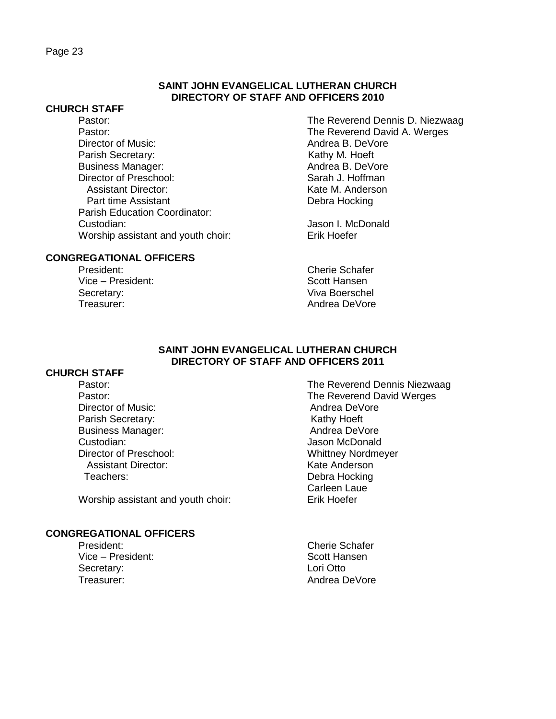#### **CHURCH STAFF**

Pastor: The Reverend David A. Werges Director of Music: Andrea B. DeVore Parish Secretary: 
Version Contract Contract Contract Contract Contract Contract Contract Contract Contract Contract Contract Contract Contract Contract Contract Contract Contract Contract Contract Contract Contract Contra Business Manager: Director of Preschool: Sarah J. Hoffman Assistant Director: Network and Muslim Kate M. Anderson Part time Assistant **Debra Hocking** Parish Education Coordinator: Custodian: Jason I. McDonald Worship assistant and youth choir: Erik Hoefer

## **CONGREGATIONAL OFFICERS**

Vice – President: Scott Hansen Secretary: Viva Boerschel Treasurer: Andrea DeVore

Pastor: The Reverend Dennis D. Niezwaag

President: Cherie Schafer

## **SAINT JOHN EVANGELICAL LUTHERAN CHURCH DIRECTORY OF STAFF AND OFFICERS 2011**

### **CHURCH STAFF**

Director of Music: Andrea DeVore Parish Secretary: The Contract of the Marine Kathy Hoeft<br>
Business Manager: The Contract of Andrea DeVore Business Manager: Custodian: Jason McDonald Director of Preschool: Whittney Nordmeyer<br>
Assistant Director: Sale Anderson<br>
Mate Anderson Assistant Director: Teachers: Debra Hocking

Worship assistant and youth choir: Erik Hoefer

#### **CONGREGATIONAL OFFICERS**

- Vice President: Scott Hansen Secretary: **Lori Otto** Treasurer: Andrea DeVore
- Pastor: **Pastor:** The Reverend Dennis Niezwaag Pastor: The Reverend David Werges Carleen Laue
- President: Cherie Schafer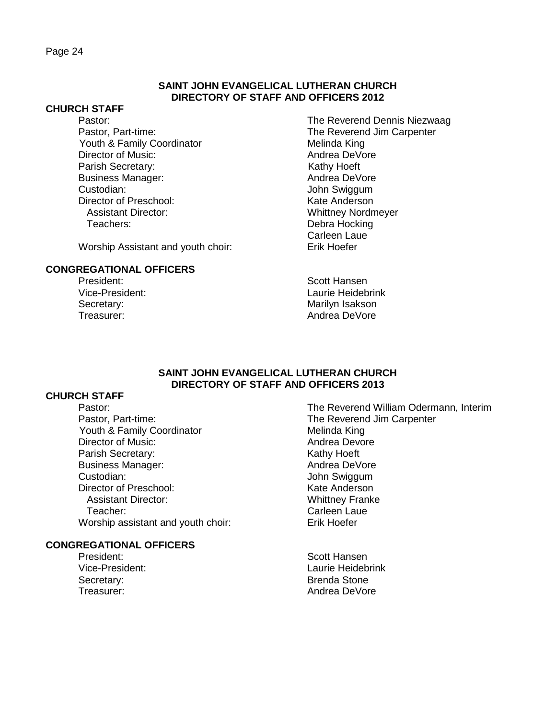#### **CHURCH STAFF**

Youth & Family Coordinator Melinda King Director of Music: Andrea DeVore Parish Secretary: We are a secretary: Kathy Hoeft Business Manager: Andrea DeVore Custodian: John Swiggum Director of Preschool: Kate Anderson Assistant Director: Whittney Nordmeyer Teachers: Debra Hocking

Worship Assistant and youth choir: Erik Hoefer

## **CONGREGATIONAL OFFICERS**

Pastor: The Reverend Dennis Niezwaag Pastor, Part-time: The Reverend Jim Carpenter Carleen Laue

President: Scott Hansen Vice-President: Laurie Heidebrink Secretary: Secretary: All and the Marilyn Isakson Treasurer: Andrea DeVore

#### **SAINT JOHN EVANGELICAL LUTHERAN CHURCH DIRECTORY OF STAFF AND OFFICERS 2013**

## **CHURCH STAFF**

Pastor, Part-time:<br>
Youth & Family Coordinator<br>
Youth & Family Coordinator<br>
The Reverend Jim Carpenter Youth & Family Coordinator Director of Music: Andrea Devore Parish Secretary: Kathy Hoeft Business Manager: Andrea DeVore Custodian: John Swiggum Director of Preschool: Kate Anderson Assistant Director: Whittney Franke Teacher: Carleen Laue<br>
Carleen Laue<br>
Carleen Laue Carleman Carles Carles Carles Carles Carles Carles Carles Carles Carles Carles Carles Carles Car Worship assistant and youth choir:

## **CONGREGATIONAL OFFICERS**

- President: Scott Hansen Secretary: Secretary: Secretary: Secretary: Secretary: Secretary: Secretary: Secretary: Secretary: Secretary: Secretary: Secretary: Secretary: Secretary: Secretary: Secretary: Secretary: Secretary: Secretary: Secretary: Se
- Pastor: The Reverend William Odermann, Interim
- Vice-President: Laurie Heidebrink Treasurer: Andrea DeVore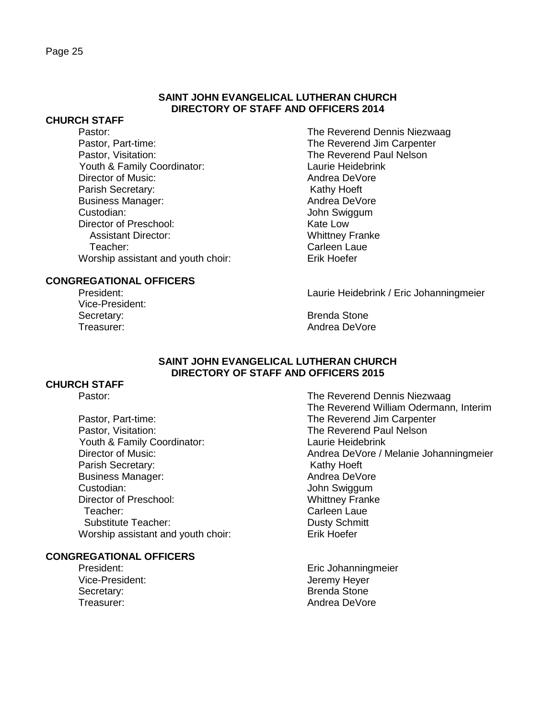### **CHURCH STAFF**

Pastor: The Reverend Dennis Niezwaag Pastor, Part-time: The Reverend Jim Carpenter Pastor, Visitation: The Reverend Paul Nelson Youth & Family Coordinator: Laurie Heidebrink Director of Music: Andrea DeVore Parish Secretary: New York 1997 Secretary: Business Manager: Andrea DeVore Custodian: John Swiggum Director of Preschool: Kate Low Assistant Director: Whittney Franke Teacher: Carleen Laue Worship assistant and youth choir: Erik Hoefer

### **CONGREGATIONAL OFFICERS**

Vice-President: Secretary: Secretary: Secretary: Secretary: Secretary: Secretary: Secretary: Secretary: Secretary: Secretary: Secretary: Secretary: Secretary: Secretary: Secretary: Secretary: Secretary: Secretary: Secretary: Secretary: Se

President: Laurie Heidebrink / Eric Johanningmeier

Treasurer: Andrea DeVore

#### **SAINT JOHN EVANGELICAL LUTHERAN CHURCH DIRECTORY OF STAFF AND OFFICERS 2015**

## **CHURCH STAFF**

Pastor, Part-time: The Reverend Jim Carpenter Pastor, Visitation: The Reverend Paul Nelson Youth & Family Coordinator: Laurie Heidebrink Parish Secretary: Kathy Hoeft Business Manager: Andrea DeVore Custodian: John Swiggum Director of Preschool: Whittney Franke Teacher: Carleen Laue Substitute Teacher: Contract Contract Contract Dusty Schmitt Worship assistant and youth choir: Erik Hoefer

#### **CONGREGATIONAL OFFICERS**

Secretary: Secretary: Secretary: Secretary: Secretary: Secretary: Secretary: Secretary: Secretary: Secretary: Secretary: Secretary: Secretary: Secretary: Secretary: Secretary: Secretary: Secretary: Secretary: Secretary: Se

Pastor: The Reverend Dennis Niezwaag The Reverend William Odermann, Interim Director of Music: Andrea DeVore / Melanie Johanningmeier

President: **Existence Information** Eric Johanningmeier Vice-President: Vice-President: Jeremy Heyer Treasurer: Andrea DeVore